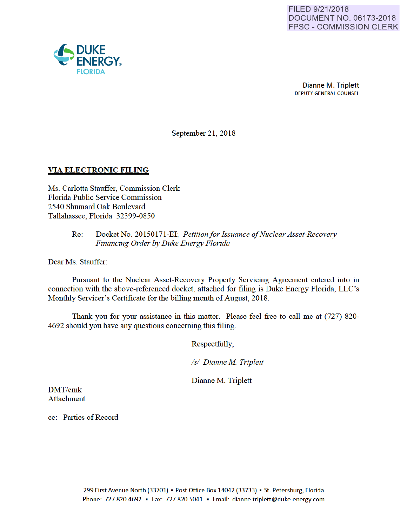

Dianne M. Triplett DEPUTY GENERAL COUNSEL

September 21, 2018

### VIA ELECTRONIC FILING

Ms. Carlotta Stauffer, Commission Clerk Florida Public Service Commission 2540 Shumard Oak Boulevard Tallahassee, Florida 32399-0850

### Re: Docket No. 20150171-EI; *Petitionfor Issuance of Nuclear Asset-Recovery Financing Order by Duke Energy Florida*

Dear Ms. Stauffer:

Pursuant to the Nuclear Asset-Recovery Property Servicing Agreement entered into in connection with the above-referenced docket, attached for filing is Duke Energy Florida, LLC's Monthly Servicer's Certificate for the billing month of August, 2018.

Thank you for your assistance in this matter. Please feel free to call me at (727) 820- 4692 should you have any questions conceming this filing.

Respectfully,

*Is/ Dianne M Triplett* 

Dianne M. Triplett

DMT/cmk Attachment

cc: Parties of Record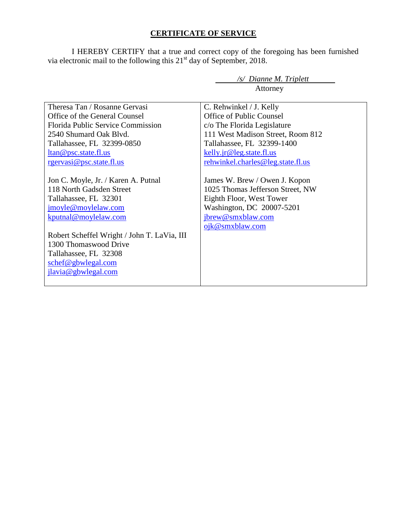## **CERTIFICATE OF SERVICE**

I HEREBY CERTIFY that a true and correct copy of the foregoing has been furnished via electronic mail to the following this  $21<sup>st</sup>$  day of September, 2018.

|                                             | Attorney                          |  |  |
|---------------------------------------------|-----------------------------------|--|--|
|                                             |                                   |  |  |
| Theresa Tan / Rosanne Gervasi               | C. Rehwinkel / J. Kelly           |  |  |
| Office of the General Counsel               | <b>Office of Public Counsel</b>   |  |  |
| Florida Public Service Commission           | c/o The Florida Legislature       |  |  |
| 2540 Shumard Oak Blvd.                      | 111 West Madison Street, Room 812 |  |  |
| Tallahassee, FL 32399-0850                  | Tallahassee, FL 32399-1400        |  |  |
| ltan@psc.state.fl.us                        | kelly.jr@leg.state.fl.us          |  |  |
| <u>rgervasi@psc.state.fl.us</u>             | rehwinkel.charles@leg.state.fl.us |  |  |
|                                             |                                   |  |  |
| Jon C. Moyle, Jr. / Karen A. Putnal         | James W. Brew / Owen J. Kopon     |  |  |
| 118 North Gadsden Street                    | 1025 Thomas Jefferson Street, NW  |  |  |
| Tallahassee, FL 32301                       | Eighth Floor, West Tower          |  |  |
| jmoyle@moylelaw.com                         | Washington, DC 20007-5201         |  |  |
| kputnal@moylelaw.com                        | jbrew@smxblaw.com                 |  |  |
|                                             | ojk@smxblaw.com                   |  |  |
| Robert Scheffel Wright / John T. LaVia, III |                                   |  |  |
| 1300 Thomaswood Drive                       |                                   |  |  |
| Tallahassee, FL 32308                       |                                   |  |  |
| schef@gbwlegal.com                          |                                   |  |  |
| jlavia@gbwlegal.com                         |                                   |  |  |
|                                             |                                   |  |  |

*/s/ Dianne M. Triplett*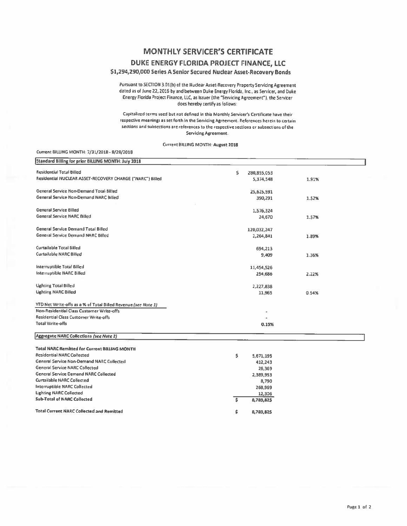# **MONTHLY SERVICER'S CERTIFICATE**

### DUKE ENERGY FLORIDA PROJECT FINANCE, LLC

### \$1,294,290,000 Series A Senior Secured Nuclear Asset-Recovery Bonds

Pursuant to SECTION 3.01(b) of the Nuclear Asset-Recovery Property Servicing Agreement dated as of June 22, 2016 by and between Duke Energy Florida, Inc., as Servicer, and Duke Energy Florida Project Finance, LLC, as Issuer (the "Servicing Agreement"), the Servicer does hereby certify as follows:

Capitalized terms used but not defined in this Monthly Servicer's Certificate have their respective meanings as set forth in the Servicing Agreement. References herein to certain sections and subsections are references to the respective sections or subsections of the Servicing Agreement.

Current BILLING MONTH: August 2018

Current BILLING MONTH: 7/31/2018 - 8/28/2018

| Standard Billing for prior BILLING MONTH: July 2018                                       |    |             |       |
|-------------------------------------------------------------------------------------------|----|-------------|-------|
| <b>Residential Total Billed</b>                                                           | \$ | 280,855,053 |       |
| Residential NUCLEAR ASSET-RECOVERY CHARGE ("NARC") Billed                                 |    |             |       |
|                                                                                           |    | 5,374,548   | 1.91% |
| General Service Non-Demand Total Billed                                                   |    | 25,625,591  |       |
| General Service Non-Demand NARC Billed                                                    |    | 390,291     | 1.52% |
|                                                                                           |    |             |       |
| General Service Billed                                                                    |    | 1,576,324   |       |
| <b>General Service NARC Billed</b>                                                        |    | 24,670      | 1.57% |
|                                                                                           |    |             |       |
| <b>General Service Demand Total Billed</b>                                                |    | 120,032,247 |       |
| General Service Demand NARC Billed                                                        |    | 2,264,841   | 1.89% |
|                                                                                           |    |             |       |
| <b>Curtailable Total Billed</b>                                                           |    | 694,213     |       |
| <b>Curtailable NARC Billed</b>                                                            |    | 9,409       | 1.36% |
|                                                                                           |    |             |       |
| Interruptible Total Billed                                                                |    | 11,454,526  |       |
| Interruptible NARC Billed                                                                 |    | 254,686     | 2.22% |
| <b>Lighting Total Billed</b>                                                              |    | 2,227,838   |       |
| <b>Lighting NARC Billed</b>                                                               |    | 11,965      | 0.54% |
|                                                                                           |    |             |       |
| YTD Net Write-offs as a % of Total Billed Revenue (see Note 1)                            |    |             |       |
| Non-Residential Class Customer Write-offs                                                 |    |             |       |
| Residential Class Customer Write-offs                                                     |    |             |       |
| Total Write-offs                                                                          |    |             |       |
|                                                                                           |    | 0.15%       |       |
| Aggregate NARC Collections (see Note 2)                                                   |    |             |       |
|                                                                                           |    |             |       |
| <b>Total NARC Remitted for Current BILLING MONTH</b><br><b>Residential NARC Collected</b> |    |             |       |
| General Service Non-Demand NARC Collected                                                 | \$ | 5,671,195   |       |
| <b>General Service NARC Collected</b>                                                     |    | 412,243     |       |
| <b>General Service Demand NARC Collected</b>                                              |    | 26,369      |       |
| Curtailable NARC Collected                                                                |    | 2,389,953   |       |
|                                                                                           |    | 8,790       |       |
| <b>Interruptible NARC Collected</b>                                                       |    | 268,969     |       |
| <b>Lighting NARC Collected</b>                                                            |    | 12,306      |       |
| <b>Sub-Total of NARC Collected</b>                                                        | ŝ  | 8,789,825   |       |
| <b>Total Current NARC Collected and Remitted</b>                                          | \$ | 8,789,825   |       |
|                                                                                           |    |             |       |